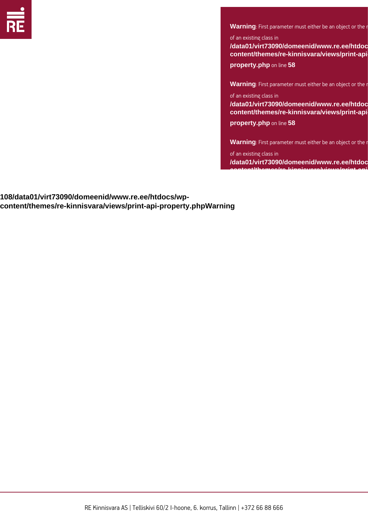

**Warning**: First parameter must either be an object or the name

of an existing class in

**/data01/virt73090/domeenid/www.re.ee/htdocs/wpcontent/themes/re-kinnisvara/views/print-api-**

**property.php** on line **58**

**Warning**: First parameter must either be an object or the name

of an existing class in **/data01/virt73090/domeenid/www.re.ee/htdocs/wpcontent/themes/re-kinnisvara/views/print-apiproperty.php** on line **58**

**Warning**: First parameter must either be an object or the name

of an existing class in /data01/virt73090/domeenid/www.re.ee/htdoc **content/themes/re-kinnisvara/views/print-api-**

**108/data01/virt73090/domeenid/www.re.ee/htdocs/wpcontent/themes/re-kinnisvara/views/print-api-property.phpWarning** of an existing class in